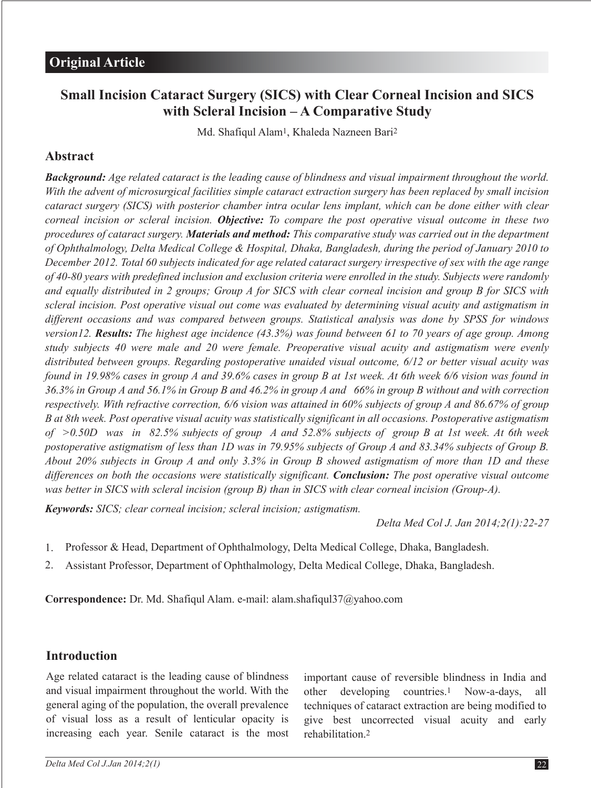# **Small Incision Cataract Surgery (SICS) with Clear Corneal Incision and SICS with Scleral Incision – A Comparative Study**

Md. Shafiqul Alam1, Khaleda Nazneen Bari2

### **Abstract**

*Background: Age related cataract is the leading cause of blindness and visual impairment throughout the world. With the advent of microsurgical facilities simple cataract extraction surgery has been replaced by small incision cataract surgery (SICS) with posterior chamber intra ocular lens implant, which can be done either with clear corneal incision or scleral incision. Objective: To compare the post operative visual outcome in these two procedures of cataract surgery. Materials and method: This comparative study was carried out in the department of Ophthalmology, Delta Medical College & Hospital, Dhaka, Bangladesh, during the period of January 2010 to December 2012. Total 60 subjects indicated for age related cataract surgery irrespective of sex with the age range of 40-80 years with predefined inclusion and exclusion criteria were enrolled in the study. Subjects were randomly and equally distributed in 2 groups; Group A for SICS with clear corneal incision and group B for SICS with scleral incision. Post operative visual out come was evaluated by determining visual acuity and astigmatism in different occasions and was compared between groups. Statistical analysis was done by SPSS for windows version12. Results: The highest age incidence (43.3%) was found between 61 to 70 years of age group. Among study subjects 40 were male and 20 were female. Preoperative visual acuity and astigmatism were evenly distributed between groups. Regarding postoperative unaided visual outcome, 6/12 or better visual acuity was found in 19.98% cases in group A and 39.6% cases in group B at 1st week. At 6th week 6/6 vision was found in 36.3% in Group A and 56.1% in Group B and 46.2% in group A and 66% in group B without and with correction respectively. With refractive correction, 6/6 vision was attained in 60% subjects of group A and 86.67% of group B at 8th week. Post operative visual acuity was statistically significant in all occasions. Postoperative astigmatism of >0.50D was in 82.5% subjects of group A and 52.8% subjects of group B at 1st week. At 6th week postoperative astigmatism of less than 1D was in 79.95% subjects of Group A and 83.34% subjects of Group B. About 20% subjects in Group A and only 3.3% in Group B showed astigmatism of more than 1D and these differences on both the occasions were statistically significant. Conclusion: The post operative visual outcome was better in SICS with scleral incision (group B) than in SICS with clear corneal incision (Group-A).*

*Keywords: SICS; clear corneal incision; scleral incision; astigmatism.*

*Delta Med Col J. Jan 2014;2(1):22-27*

- Professor & Head, Department of Ophthalmology, Delta Medical College, Dhaka, Bangladesh. 1.
- Assistant Professor, Department of Ophthalmology, Delta Medical College, Dhaka, Bangladesh. 2.

**Correspondence:** Dr. Md. Shafiqul Alam. e-mail: alam.shafiqul37@yahoo.com

#### **Introduction**

Age related cataract is the leading cause of blindness and visual impairment throughout the world. With the general aging of the population, the overall prevalence of visual loss as a result of lenticular opacity is increasing each year. Senile cataract is the most important cause of reversible blindness in India and other developing countries.1 Now-a-days, all techniques of cataract extraction are being modified to give best uncorrected visual acuity and early rehabilitation.2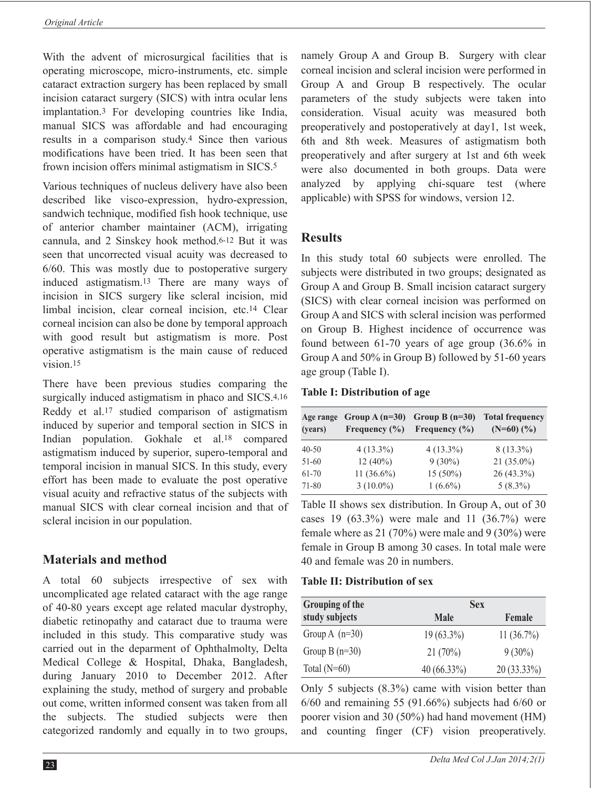With the advent of microsurgical facilities that is operating microscope, micro-instruments, etc. simple cataract extraction surgery has been replaced by small incision cataract surgery (SICS) with intra ocular lens implantation.3 For developing countries like India, manual SICS was affordable and had encouraging results in a comparison study.4 Since then various modifications have been tried. It has been seen that frown incision offers minimal astigmatism in SICS.5

Various techniques of nucleus delivery have also been described like visco-expression, hydro-expression, sandwich technique, modified fish hook technique, use of anterior chamber maintainer (ACM), irrigating cannula, and 2 Sinskey hook method.6-12 But it was seen that uncorrected visual acuity was decreased to 6/60. This was mostly due to postoperative surgery induced astigmatism.13 There are many ways of incision in SICS surgery like scleral incision, mid limbal incision, clear corneal incision, etc.14 Clear corneal incision can also be done by temporal approach with good result but astigmatism is more. Post operative astigmatism is the main cause of reduced vision 15

There have been previous studies comparing the surgically induced astigmatism in phaco and SICS.<sup>4,16</sup> Reddy et al.17 studied comparison of astigmatism induced by superior and temporal section in SICS in Indian population. Gokhale et al.18 compared astigmatism induced by superior, supero-temporal and temporal incision in manual SICS. In this study, every effort has been made to evaluate the post operative visual acuity and refractive status of the subjects with manual SICS with clear corneal incision and that of scleral incision in our population.

# **Materials and method**

A total 60 subjects irrespective of sex with uncomplicated age related cataract with the age range of 40-80 years except age related macular dystrophy, diabetic retinopathy and cataract due to trauma were included in this study. This comparative study was carried out in the deparment of Ophthalmolty, Delta Medical College & Hospital, Dhaka, Bangladesh, during January 2010 to December 2012. After explaining the study, method of surgery and probable out come, written informed consent was taken from all the subjects. The studied subjects were then categorized randomly and equally in to two groups,

namely Group A and Group B. Surgery with clear corneal incision and scleral incision were performed in Group A and Group B respectively. The ocular parameters of the study subjects were taken into consideration. Visual acuity was measured both preoperatively and postoperatively at day1, 1st week, 6th and 8th week. Measures of astigmatism both preoperatively and after surgery at 1st and 6th week were also documented in both groups. Data were analyzed by applying chi-square test (where applicable) with SPSS for windows, version 12.

### **Results**

In this study total 60 subjects were enrolled. The subjects were distributed in two groups; designated as Group A and Group B. Small incision cataract surgery (SICS) with clear corneal incision was performed on Group A and SICS with scleral incision was performed on Group B. Highest incidence of occurrence was found between 61-70 years of age group (36.6% in Group A and 50% in Group B) followed by 51-60 years age group (Table I).

#### **Table I: Distribution of age**

| Age range<br>(years) | Group $A(n=30)$<br>Frequency $(\% )$ | Group B $(n=30)$<br>Frequency $(\% )$ | <b>Total frequency</b><br>$(N=60)$ $(\%$ ) |
|----------------------|--------------------------------------|---------------------------------------|--------------------------------------------|
| $40 - 50$            | $4(13.3\%)$                          | $4(13.3\%)$                           | $8(13.3\%)$                                |
| $51-60$              | $12(40\%)$                           | $9(30\%)$                             | $21(35.0\%)$                               |
| 61-70                | 11 $(36.6\%)$                        | $15(50\%)$                            | $26(43.3\%)$                               |
| 71-80                | $3(10.0\%)$                          | $1(6.6\%)$                            | $5(8.3\%)$                                 |

Table II shows sex distribution. In Group A, out of 30 cases 19  $(63.3\%)$  were male and 11  $(36.7\%)$  were female where as 21 (70%) were male and 9 (30%) were female in Group B among 30 cases. In total male were 40 and female was 20 in numbers.

#### **Table II: Distribution of sex**

| Grouping of the  | <b>Sex</b>    |             |
|------------------|---------------|-------------|
| study subjects   | <b>Male</b>   | Female      |
| Group A $(n=30)$ | $19(63.3\%)$  | 11(36.7%)   |
| Group B $(n=30)$ | 21(70%)       | $9(30\%)$   |
| Total $(N=60)$   | $40(66.33\%)$ | 20 (33.33%) |

Only 5 subjects (8.3%) came with vision better than 6/60 and remaining 55 (91.66%) subjects had 6/60 or poorer vision and 30 (50%) had hand movement (HM) and counting finger (CF) vision preoperatively.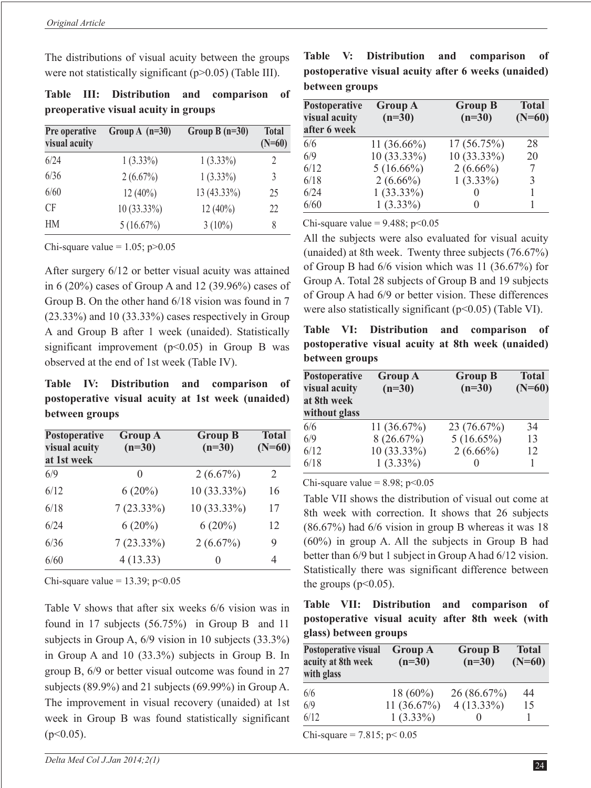The distributions of visual acuity between the groups were not statistically significant (p>0.05) (Table III).

|  | Table III: Distribution and comparison of |  |  |
|--|-------------------------------------------|--|--|
|  | preoperative visual acuity in groups      |  |  |

| Pre operative<br>visual acuity | Group A $(n=30)$ | Group $B(n=30)$ | <b>Total</b><br>$(N=60)$ |
|--------------------------------|------------------|-----------------|--------------------------|
| 6/24                           | $1(3.33\%)$      | $1(3.33\%)$     | 2                        |
| 6/36                           | 2(6.67%)         | $1(3.33\%)$     | 3                        |
| 6/60                           | $12(40\%)$       | 13 (43.33%)     | 25                       |
| <b>CF</b>                      | $10(33.33\%)$    | $12(40\%)$      | 22                       |
| HM                             | 5(16.67%)        | $3(10\%)$       | 8                        |

Chi-square value =  $1.05$ ; p $>0.05$ 

After surgery 6/12 or better visual acuity was attained in 6 (20%) cases of Group A and 12 (39.96%) cases of Group B. On the other hand 6/18 vision was found in 7  $(23.33\%)$  and 10  $(33.33\%)$  cases respectively in Group A and Group B after 1 week (unaided). Statistically significant improvement ( $p<0.05$ ) in Group B was observed at the end of 1st week (Table IV).

**Table IV: Distribution and comparison of postoperative visual acuity at 1st week (unaided) between groups**

| Postoperative<br>visual acuity<br>at 1st week | <b>Group A</b><br>$(n=30)$ | <b>Group B</b><br>$(n=30)$ | <b>Total</b><br>$(N=60)$ |
|-----------------------------------------------|----------------------------|----------------------------|--------------------------|
| 6/9                                           | $\Omega$                   | $2(6.67\%)$                | 2                        |
| 6/12                                          | $6(20\%)$                  | 10 (33.33%)                | 16                       |
| 6/18                                          | $7(23.33\%)$               | 10 (33.33%)                | 17                       |
| 6/24                                          | $6(20\%)$                  | $6(20\%)$                  | 12                       |
| 6/36                                          | $7(23.33\%)$               | $2(6.67\%)$                | 9                        |
| 6/60                                          | 4(13.33)                   | $\mathbf{0}$               | 4                        |

Chi-square value =  $13.39$ ; p<0.05

Table V shows that after six weeks 6/6 vision was in found in 17 subjects (56.75%) in Group B and 11 subjects in Group A, 6/9 vision in 10 subjects (33.3%) in Group A and 10 (33.3%) subjects in Group B. In group B, 6/9 or better visual outcome was found in 27 subjects (89.9%) and 21 subjects (69.99%) in Group A. The improvement in visual recovery (unaided) at 1st week in Group B was found statistically significant  $(p<0.05)$ .

**Table V: Distribution and comparison of postoperative visual acuity after 6 weeks (unaided) between groups**

| Postoperative<br>visual acuity<br>after 6 week | <b>Group A</b><br>$(n=30)$ | <b>Group B</b><br>$(n=30)$ | <b>Total</b><br>$(N=60)$ |
|------------------------------------------------|----------------------------|----------------------------|--------------------------|
| 6/6                                            | $11(36.66\%)$              | 17(56.75%)                 | 28                       |
| 6/9                                            | $10(33.33\%)$              | $10(33.33\%)$              | 20                       |
| 6/12                                           | $5(16.66\%)$               | $2(6.66\%)$                | 7                        |
| 6/18                                           | $2(6.66\%)$                | $1(3.33\%)$                | 3                        |
| 6/24                                           | $1(33.33\%)$               |                            |                          |
| 6/60                                           | $1(3.33\%)$                | $\mathbf{\Omega}$          |                          |

Chi-square value =  $9.488$ ; p< $0.05$ 

All the subjects were also evaluated for visual acuity (unaided) at 8th week. Twenty three subjects (76.67%) of Group B had 6/6 vision which was 11 (36.67%) for Group A. Total 28 subjects of Group B and 19 subjects of Group A had 6/9 or better vision. These differences were also statistically significant (p<0.05) (Table VI).

**Table VI: Distribution and comparison of postoperative visual acuity at 8th week (unaided) between groups**

| Postoperative<br>visual acuity<br>at 8th week<br>without glass | <b>Group A</b><br>$(n=30)$ | <b>Group B</b><br>$(n=30)$ | <b>Total</b><br>$(N=60)$ |
|----------------------------------------------------------------|----------------------------|----------------------------|--------------------------|
| 6/6                                                            | 11(36.67%)                 | 23 (76.67%)                | 34                       |
| 6/9                                                            | 8(26.67%)                  | $5(16.65\%)$               | 13                       |
| 6/12                                                           | $10(33.33\%)$              | $2(6.66\%)$                | 12                       |
| 6/18                                                           | $1(3.33\%)$                |                            |                          |

Chi-square value =  $8.98$ ; p< $0.05$ 

Table VII shows the distribution of visual out come at 8th week with correction. It shows that 26 subjects (86.67%) had 6/6 vision in group B whereas it was 18 (60%) in group A. All the subjects in Group B had better than 6/9 but 1 subject in Group A had 6/12 vision. Statistically there was significant difference between the groups  $(p<0.05)$ .

|  |                       | Table VII: Distribution and comparison of        |  |  |
|--|-----------------------|--------------------------------------------------|--|--|
|  |                       | postoperative visual acuity after 8th week (with |  |  |
|  | glass) between groups |                                                  |  |  |

| Postoperative visual<br>acuity at 8th week<br>with glass | <b>Group A</b><br>$(n=30)$ | <b>Group B</b><br>$(n=30)$ | <b>Total</b><br>$(N=60)$ |
|----------------------------------------------------------|----------------------------|----------------------------|--------------------------|
| 6/6                                                      | $18(60\%)$                 | 26 (86.67%)                | 44                       |
| 6/9                                                      | 11 $(36.67\%)$             | $4(13.33\%)$               | 15                       |
| 6/12                                                     | $1(3.33\%)$                |                            |                          |
|                                                          |                            |                            |                          |

Chi-square = 7.815;  $p < 0.05$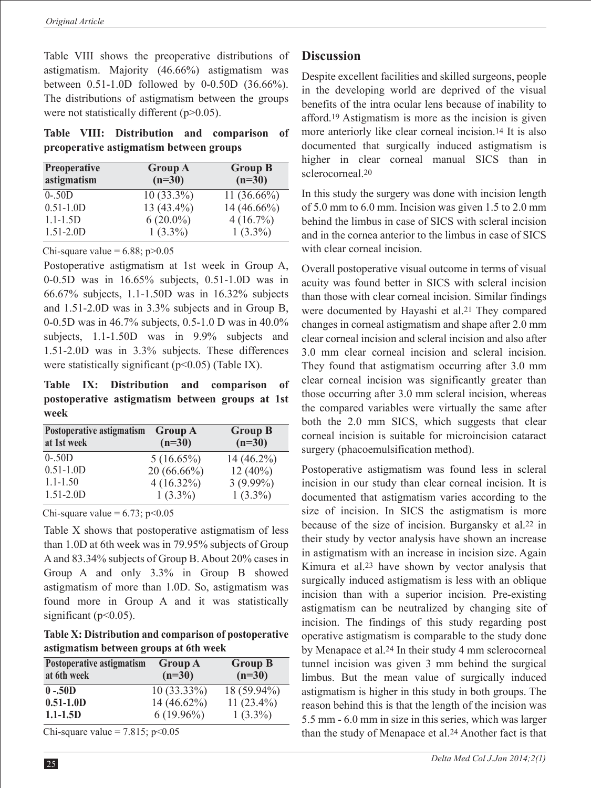Table VIII shows the preoperative distributions of astigmatism. Majority (46.66%) astigmatism was between 0.51-1.0D followed by 0-0.50D (36.66%). The distributions of astigmatism between the groups were not statistically different (p>0.05).

**Table VIII: Distribution and comparison of preoperative astigmatism between groups**

| <b>Preoperative</b><br>astigmatism | <b>Group A</b><br>$(n=30)$ | <b>Group B</b><br>$(n=30)$ |
|------------------------------------|----------------------------|----------------------------|
| $0 - 50D$                          | $10(33.3\%)$               | 11 $(36.66\%)$             |
| $0.51 - 1.0D$                      | 13 (43.4%)                 | $14(46.66\%)$              |
| $1.1 - 1.5D$                       | $6(20.0\%)$                | $4(16.7\%)$                |
| $1.51 - 2.0D$                      | $1(3.3\%)$                 | $1(3.3\%)$                 |

Chi-square value =  $6.88$ ; p $>0.05$ 

Postoperative astigmatism at 1st week in Group A, 0-0.5D was in 16.65% subjects, 0.51-1.0D was in 66.67% subjects, 1.1-1.50D was in 16.32% subjects and 1.51-2.0D was in 3.3% subjects and in Group B, 0-0.5D was in 46.7% subjects, 0.5-1.0 D was in 40.0% subjects, 1.1-1.50D was in 9.9% subjects and 1.51-2.0D was in 3.3% subjects. These differences were statistically significant  $(p<0.05)$  (Table IX).

**Table IX: Distribution and comparison of postoperative astigmatism between groups at 1st week**

| Postoperative astigmatism<br>at 1st week | <b>Group A</b><br>$(n=30)$ | <b>Group B</b><br>$(n=30)$ |
|------------------------------------------|----------------------------|----------------------------|
| $0 - 50D$                                | $5(16.65\%)$               | $14(46.2\%)$               |
| $0.51 - 1.0D$                            | $20(66.66\%)$              | $12(40\%)$                 |
| $1.1 - 1.50$                             | $4(16.32\%)$               | $3(9.99\%)$                |
| $1.51 - 2.0D$                            | $1(3.3\%)$                 | $1(3.3\%)$                 |

Chi-square value =  $6.73$ ; p< $0.05$ 

Table X shows that postoperative astigmatism of less than 1.0D at 6th week was in 79.95% subjects of Group A and 83.34% subjects of Group B. About 20% cases in Group A and only 3.3% in Group B showed astigmatism of more than 1.0D. So, astigmatism was found more in Group A and it was statistically significant ( $p<0.05$ ).

**Table X: Distribution and comparison of postoperative astigmatism between groups at 6th week**

| Postoperative astigmatism<br>at 6th week | <b>Group A</b><br>$(n=30)$ | <b>Group B</b><br>$(n=30)$ |
|------------------------------------------|----------------------------|----------------------------|
| $0 - 50D$                                | $10(33.33\%)$              | 18 (59.94%)                |
| $0.51 - 1.0D$                            | 14 (46.62%)                | 11 $(23.4\%)$              |
| $1.1 - 1.5D$                             | $6(19.96\%)$               | $1(3.3\%)$                 |

Chi-square value =  $7.815$ ; p<0.05

### **Discussion**

Despite excellent facilities and skilled surgeons, people in the developing world are deprived of the visual benefits of the intra ocular lens because of inability to afford.19 Astigmatism is more as the incision is given more anteriorly like clear corneal incision.14 It is also documented that surgically induced astigmatism is higher in clear corneal manual SICS than in sclerocorneal.20

In this study the surgery was done with incision length of 5.0 mm to 6.0 mm. Incision was given 1.5 to 2.0 mm behind the limbus in case of SICS with scleral incision and in the cornea anterior to the limbus in case of SICS with clear corneal incision.

Overall postoperative visual outcome in terms of visual acuity was found better in SICS with scleral incision than those with clear corneal incision. Similar findings were documented by Hayashi et al.21 They compared changes in corneal astigmatism and shape after 2.0 mm clear corneal incision and scleral incision and also after 3.0 mm clear corneal incision and scleral incision. They found that astigmatism occurring after 3.0 mm clear corneal incision was significantly greater than those occurring after 3.0 mm scleral incision, whereas the compared variables were virtually the same after both the 2.0 mm SICS, which suggests that clear corneal incision is suitable for microincision cataract surgery (phacoemulsification method).

Postoperative astigmatism was found less in scleral incision in our study than clear corneal incision. It is documented that astigmatism varies according to the size of incision. In SICS the astigmatism is more because of the size of incision. Burgansky et al.22 in their study by vector analysis have shown an increase in astigmatism with an increase in incision size. Again Kimura et al.23 have shown by vector analysis that surgically induced astigmatism is less with an oblique incision than with a superior incision. Pre-existing astigmatism can be neutralized by changing site of incision. The findings of this study regarding post operative astigmatism is comparable to the study done by Menapace et al.24 In their study 4 mm sclerocorneal tunnel incision was given 3 mm behind the surgical limbus. But the mean value of surgically induced astigmatism is higher in this study in both groups. The reason behind this is that the length of the incision was 5.5 mm - 6.0 mm in size in this series, which was larger than the study of Menapace et al.24 Another fact is that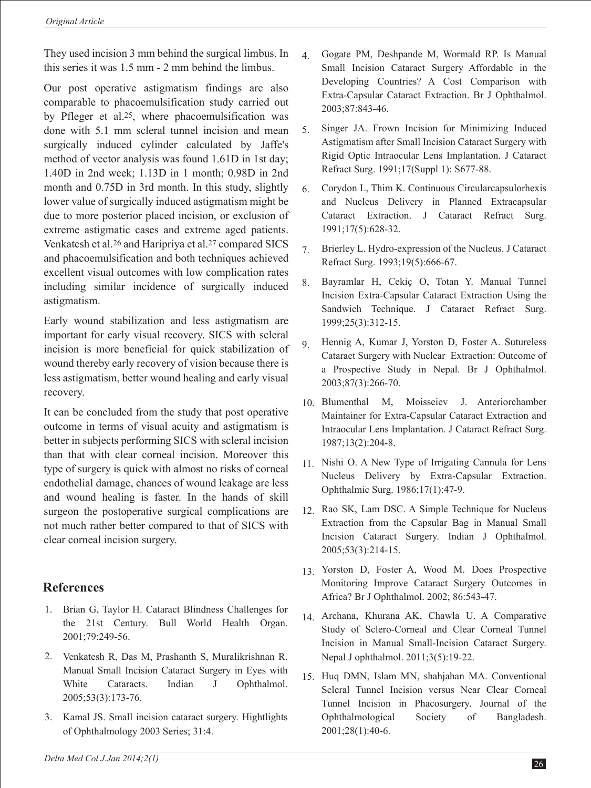They used incision 3 mm behind the surgical limbus. In this series it was 1.5 mm - 2 mm behind the limbus.

Our post operative astigmatism findings are also comparable to phacoemulsification study carried out by Pfleger et al.25, where phacoemulsification was done with 5.1 mm scleral tunnel incision and mean surgically induced cylinder calculated by Jaffe's method of vector analysis was found 1.61D in 1st day; 1.40D in 2nd week; 1.13D in 1 month; 0.98D in 2nd month and 0.75D in 3rd month. In this study, slightly lower value of surgically induced astigmatism might be due to more posterior placed incision, or exclusion of extreme astigmatic cases and extreme aged patients. Venkatesh et al.26 and Haripriya et al.27 compared SICS and phacoemulsification and both techniques achieved excellent visual outcomes with low complication rates including similar incidence of surgically induced astigmatism.

Early wound stabilization and less astigmatism are important for early visual recovery. SICS with scleral incision is more beneficial for quick stabilization of wound thereby early recovery of vision because there is less astigmatism, better wound healing and early visual recovery.

It can be concluded from the study that post operative outcome in terms of visual acuity and astigmatism is better in subjects performing SICS with scleral incision than that with clear corneal incision. Moreover this type of surgery is quick with almost no risks of corneal endothelial damage, chances of wound leakage are less and wound healing is faster. In the hands of skill surgeon the postoperative surgical complications are not much rather better compared to that of SICS with clear corneal incision surgery.

# **References**

- Brian G, Taylor H. Cataract Blindness Challenges for 1. the 21st Century. Bull World Health Organ. 2001;79:249-56.
- Venkatesh R, Das M, Prashanth S, Muralikrishnan R. 2. Manual Small Incision Cataract Surgery in Eyes with White Cataracts. Indian J Ophthalmol. 2005;53(3):173-76.
- 3. Kamal JS. Small incision cataract surgery. Hightlights of Ophthalmology 2003 Series; 31:4.
- Gogate PM, Deshpande M, Wormald RP. Is Manual Small Incision Cataract Surgery Affordable in the Developing Countries? A Cost Comparison with Extra-Capsular Cataract Extraction. Br J Ophthalmol. 2003;87:843-46. 4.
- Singer JA. Frown Incision for Minimizing Induced Astigmatism after Small Incision Cataract Surgery with Rigid Optic Intraocular Lens Implantation. J Cataract Refract Surg. 1991;17(Suppl 1): S677-88. 5.
- Corydon L, Thim K. Continuous Circularcapsulorhexis and Nucleus Delivery in Planned Extracapsular Cataract Extraction. J Cataract Refract Surg. 1991;17(5):628-32. 6.
- Brierley L. Hydro-expression of the Nucleus. J Cataract Refract Surg. 1993;19(5):666-67. 7.
- Bayramlar H, Cekiç O, Totan Y. Manual Tunnel Incision Extra-Capsular Cataract Extraction Using the Sandwich Technique. J Cataract Refract Surg. 1999;25(3):312-15. 8.
- Hennig A, Kumar J, Yorston D, Foster A. Sutureless Cataract Surgery with Nuclear Extraction: Outcome of a Prospective Study in Nepal. Br J Ophthalmol. 2003;87(3):266-70. 9.
- Blumenthal M, Moisseiev J. Anteriorchamber 10. Maintainer for Extra-Capsular Cataract Extraction and Intraocular Lens Implantation. J Cataract Refract Surg. 1987;13(2):204-8.
- Nishi O. A New Type of Irrigating Cannula for Lens 11. Nucleus Delivery by Extra-Capsular Extraction. Ophthalmic Surg. 1986;17(1):47-9.
- 12. Rao SK, Lam DSC. A Simple Technique for Nucleus Extraction from the Capsular Bag in Manual Small Incision Cataract Surgery. Indian J Ophthalmol. 2005;53(3):214-15.
- 13. Yorston D, Foster A, Wood M. Does Prospective Monitoring Improve Cataract Surgery Outcomes in Africa? Br J Ophthalmol. 2002; 86:543-47.
- Archana, Khurana AK, Chawla U. A Comparative 14. Study of Sclero-Corneal and Clear Corneal Tunnel Incision in Manual Small-Incision Cataract Surgery. Nepal J ophthalmol. 2011;3(5):19-22.
- 15. Huq DMN, Islam MN, shahjahan MA. Conventional Scleral Tunnel Incision versus Near Clear Corneal Tunnel Incision in Phacosurgery. Journal of the Ophthalmological Society of Bangladesh. 2001;28(1):40-6.